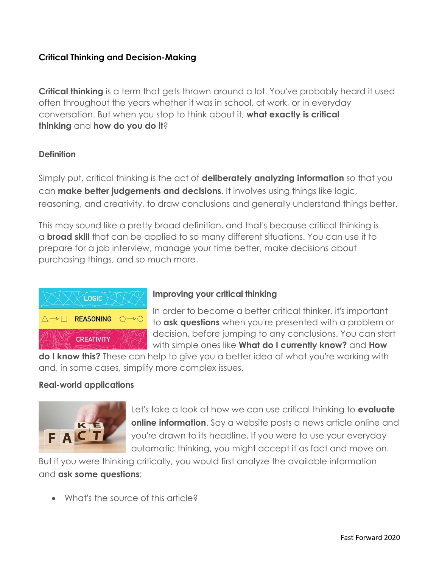## **Critical Thinking and Decision-Making**

**Critical thinking** is a term that gets thrown around a lot. You've probably heard it used often throughout the years whether it was in school, at work, or in everyday conversation. But when you stop to think about it, **what exactly is critical thinking** and **how do you do it**?

### **Definition**

Simply put, critical thinking is the act of **deliberately analyzing information** so that you can **make better judgements and decisions**. It involves using things like logic, reasoning, and creativity, to draw conclusions and generally understand things better.

This may sound like a pretty broad definition, and that's because critical thinking is a **broad skill** that can be applied to so many different situations. You can use it to prepare for a job interview, manage your time better, make decisions about purchasing things, and so much more.



### **Improving your critical thinking**

In order to become a better critical thinker, it's important to **ask questions** when you're presented with a problem or decision, before jumping to any conclusions. You can start with simple ones like **What do I currently know?** and **How** 

**do I know this?** These can help to give you a better idea of what you're working with and, in some cases, simplify more complex issues.

### **Real-world applications**



Let's take a look at how we can use critical thinking to **evaluate online information.** Say a website posts a news article online and you're drawn to its headline. If you were to use your everyday automatic thinking, you might accept it as fact and move on.

But if you were thinking critically, you would first analyze the available information and **ask some questions**:

• What's the source of this article?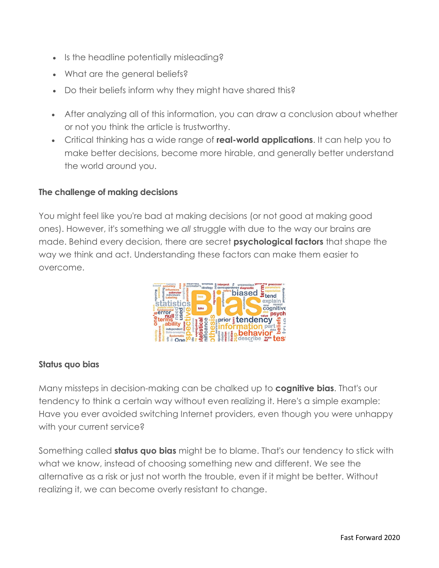- Is the headline potentially misleading?
- What are the general beliefs?
- Do their beliefs inform why they might have shared this?
- After analyzing all of this information, you can draw a conclusion about whether or not you think the article is trustworthy.
- Critical thinking has a wide range of **real-world applications**. It can help you to make better decisions, become more hirable, and generally better understand the world around you.

# **The challenge of making decisions**

You might feel like you're bad at making decisions (or not good at making good ones). However, it's something we *all* struggle with due to the way our brains are made. Behind every decision, there are secret **psychological factors** that shape the way we think and act. Understanding these factors can make them easier to overcome.



# **Status quo bias**

Many missteps in decision-making can be chalked up to **cognitive bias**. That's our tendency to think a certain way without even realizing it. Here's a simple example: Have you ever avoided switching Internet providers, even though you were unhappy with your current service?

Something called **status quo bias** might be to blame. That's our tendency to stick with what we know, instead of choosing something new and different. We see the alternative as a risk or just not worth the trouble, even if it might be better. Without realizing it, we can become overly resistant to change.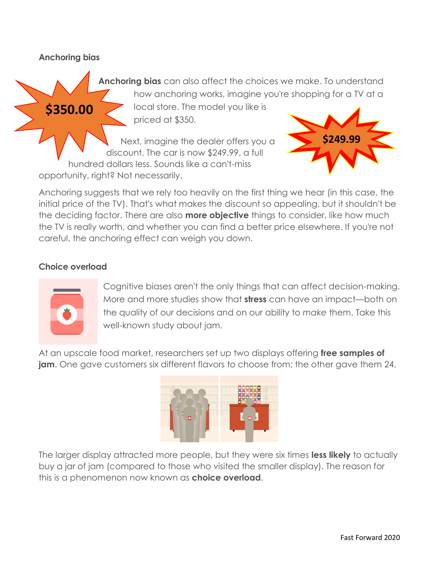#### **Anchoring bias**

**\$350.00**

**Anchoring bias** can also affect the choices we make. To understand how anchoring works, imagine you're shopping for a TV at a

> local store. The model you like is priced at \$350.

Next, imagine the dealer offers you a discount. The car is now \$249.99, a full hundred dollars less. Sounds like a can't-miss opportunity, right? Not necessarily.



Anchoring suggests that we rely too heavily on the first thing we hear (in this case, the initial price of the TV). That's what makes the discount so appealing, but it shouldn't be the deciding factor. There are also **more objective** things to consider, like how much the TV is really worth, and whether you can find a better price elsewhere. If you're not careful, the anchoring effect can weigh you down.

### **Choice overload**



Cognitive biases aren't the only things that can affect decision-making. More and more studies show that **stress** can have an impact—both on the quality of our decisions and on our ability to *make* them. Take this well-known study about jam.

At an upscale food market, researchers set up two displays offering **free samples of jam**. One gave customers six different flavors to choose from; the other gave them 24.



The larger display attracted more people, but they were six times **less likely** to actually buy a jar of jam (compared to those who visited the smaller display). The reason for this is a phenomenon now known as **choice overload**.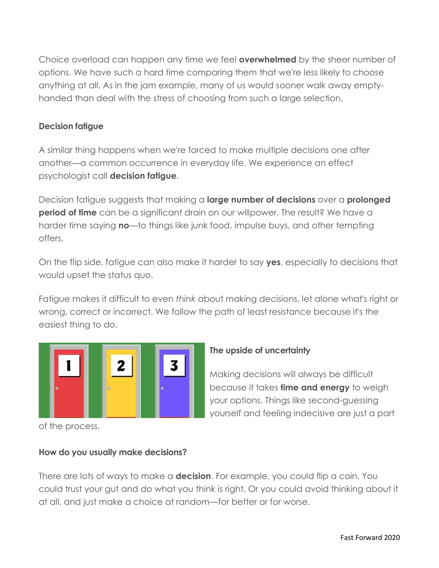Choice overload can happen any time we feel **overwhelmed** by the sheer number of options. We have such a hard time comparing them that we're less likely to choose anything at all. As in the jam example, many of us would sooner walk away emptyhanded than deal with the stress of choosing from such a large selection.

### **Decision fatigue**

A similar thing happens when we're forced to make multiple decisions one after another—a common occurrence in everyday life. We experience an effect psychologist call **decision fatigue**.

Decision fatigue suggests that making a **large number of decisions** over a **prolonged period of time** can be a significant drain on our willpower. The result? We have a harder time saying **no**—to things like junk food, impulse buys, and other tempting offers.

On the flip side, fatigue can also make it harder to say **yes**, especially to decisions that would upset the status quo.

Fatigue makes it difficult to even *think* about making decisions, let alone what's right or wrong, correct or incorrect. We follow the path of least resistance because it's the easiest thing to do.



**The upside of uncertainty**

Making decisions will always be difficult because it takes **time and energy** to weigh your options. Things like second-guessing yourself and feeling indecisive are just a part

of the process.

### **How do you usually make decisions?**

There are lots of ways to make a **decision**. For example, you could flip a coin. You could trust your gut and do what you think is right. Or you could avoid thinking about it at all, and just make a choice at random—for better or for worse.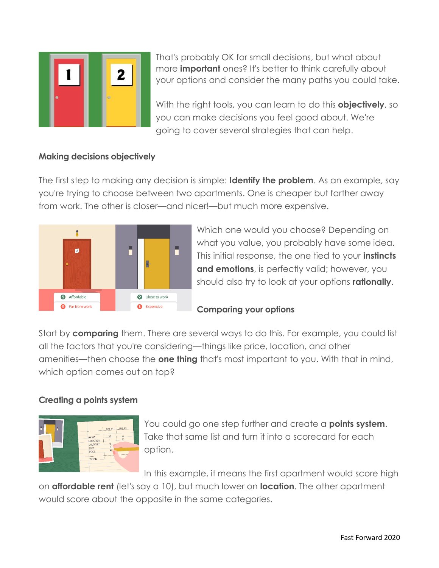

That's probably OK for small decisions, but what about more **important** ones? It's better to think carefully about your options and consider the many paths you could take.

With the right tools, you can learn to do this **objectively**, so you can make decisions you feel good about. We're going to cover several strategies that can help.

## **Making decisions objectively**

The first step to making any decision is simple: **Identify the problem**. As an example, say you're trying to choose between two apartments. One is cheaper but farther away from work. The other is closer—and nicer!—but much more expensive.



Which one would you choose? Depending on what you value, you probably have some idea. This initial response, the one tied to your **instincts and emotions**, is perfectly valid; however, you should also try to look at your options **rationally**.

### **Comparing your options**

Start by **comparing** them. There are several ways to do this. For example, you could list all the factors that you're considering—things like price, location, and other amenities—then choose the **one thing** that's most important to you. With that in mind, which option comes out on top?

## **Creating a points system**



You could go one step further and create a **points system**. Take that same list and turn it into a scorecard for each option.

In this example, it means the first apartment would score high

on **affordable rent** (let's say a 10), but much lower on **location**. The other apartment would score about the opposite in the same categories.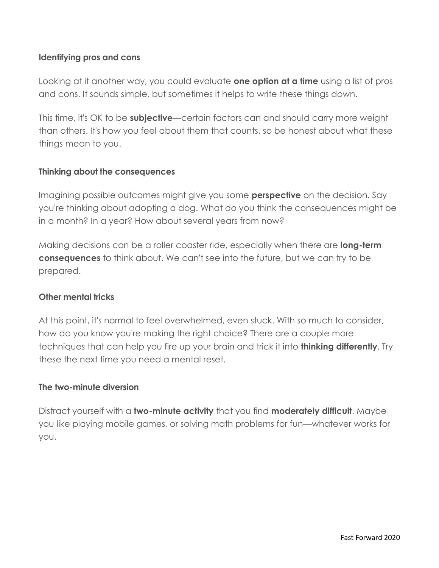### **Identifying pros and cons**

Looking at it another way, you could evaluate **one option at a time** using a list of pros and cons. It sounds simple, but sometimes it helps to write these things down.

This time, it's OK to be **subjective**—certain factors can and should carry more weight than others. It's how you feel about them that counts, so be honest about what these things mean to you.

### **Thinking about the consequences**

Imagining possible outcomes might give you some **perspective** on the decision. Say you're thinking about adopting a dog. What do you think the consequences might be in a month? In a year? How about several years from now?

Making decisions can be a roller coaster ride, especially when there are **long-term consequences** to think about. We can't see into the future, but we can try to be prepared.

### **Other mental tricks**

At this point, it's normal to feel overwhelmed, even stuck. With so much to consider, how do you know you're making the right choice? There are a couple more techniques that can help you fire up your brain and trick it into **thinking differently**. Try these the next time you need a mental reset.

### **The two-minute diversion**

Distract yourself with a **two-minute activity** that you find **moderately difficult**. Maybe you like playing mobile games, or solving math problems for fun—whatever works for you.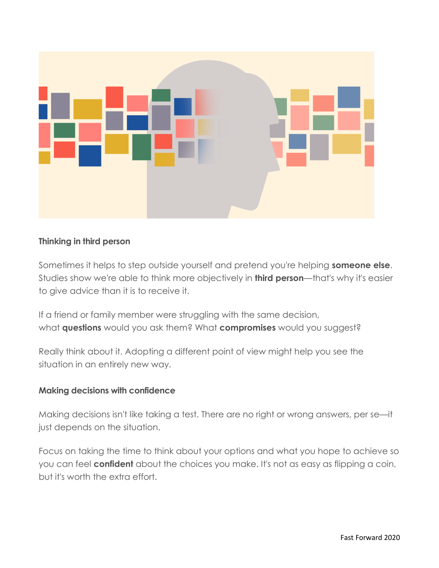

### **Thinking in third person**

Sometimes it helps to step outside yourself and pretend you're helping **someone else**. Studies show we're able to think more objectively in **third person**—that's why it's easier to give advice than it is to receive it.

If a friend or family member were struggling with the same decision, what **questions** would you ask them? What **compromises** would you suggest?

Really think about it. Adopting a different point of view might help you see the situation in an entirely new way.

#### **Making decisions with confidence**

Making decisions isn't like taking a test. There are no right or wrong answers, per se—it just depends on the situation.

Focus on taking the time to think about your options and what you hope to achieve so you can feel **confident** about the choices you make. It's not as easy as flipping a coin, but it's worth the extra effort.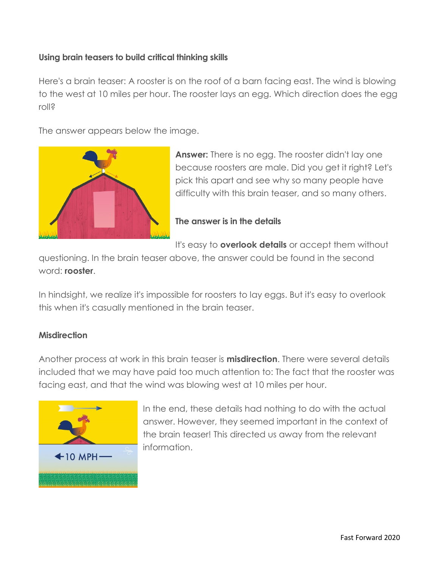### **Using brain teasers to build critical thinking skills**

Here's a brain teaser: A rooster is on the roof of a barn facing east. The wind is blowing to the west at 10 miles per hour. The rooster lays an egg. Which direction does the egg roll?

The answer appears below the image.



**Answer:** There is no egg. The rooster didn't lay one because roosters are male. Did you get it right? Let's pick this apart and see why so many people have difficulty with this brain teaser, and so many others.

### **The answer is in the details**

It's easy to **overlook details** or accept them without

questioning. In the brain teaser above, the answer could be found in the second word: **rooster**.

In hindsight, we realize it's impossible for roosters to lay eggs. But it's easy to overlook this when it's casually mentioned in the brain teaser.

### **Misdirection**

Another process at work in this brain teaser is **misdirection**. There were several details included that we may have paid too much attention to: The fact that the rooster was facing east, and that the wind was blowing west at 10 miles per hour.



In the end, these details had nothing to do with the actual answer. However, they seemed important in the context of the brain teaser! This directed us away from the relevant information.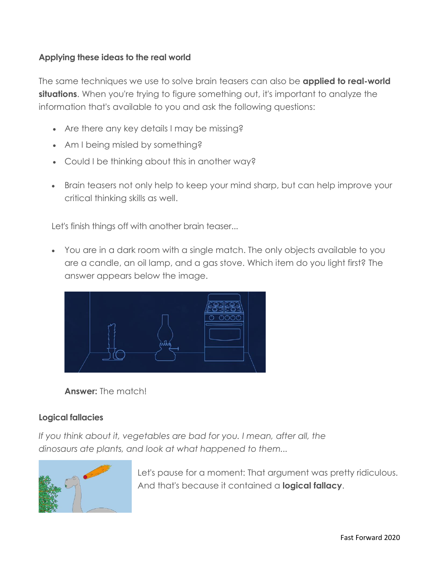### **Applying these ideas to the real world**

The same techniques we use to solve brain teasers can also be **applied to real-world situations**. When you're trying to figure something out, it's important to analyze the information that's available to you and ask the following questions:

- Are there any key details I may be missing?
- Am I being misled by something?
- Could I be thinking about this in another way?
- Brain teasers not only help to keep your mind sharp, but can help improve your critical thinking skills as well.

Let's finish things off with another brain teaser...

• You are in a dark room with a single match. The only objects available to you are a candle, an oil lamp, and a gas stove. Which item do you light first? The answer appears below the image.





## **Logical fallacies**

*If you think about it, vegetables are bad for you. I mean, after all, the dinosaurs ate plants, and look at what happened to them...*



Let's pause for a moment: That argument was pretty ridiculous. And that's because it contained a **logical fallacy**.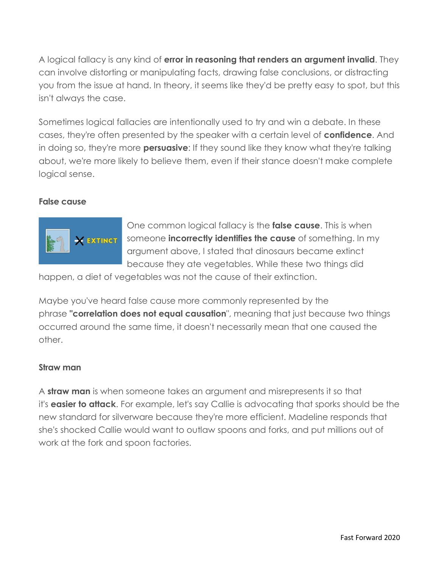A logical fallacy is any kind of **error in reasoning that renders an argument invalid**. They can involve distorting or manipulating facts, drawing false conclusions, or distracting you from the issue at hand. In theory, it seems like they'd be pretty easy to spot, but this isn't always the case.

Sometimes logical fallacies are intentionally used to try and win a debate. In these cases, they're often presented by the speaker with a certain level of **confidence**. And in doing so, they're more **persuasive**: If they sound like they know what they're talking about, we're more likely to believe them, even if their stance doesn't make complete logical sense.

#### **False cause**



One common logical fallacy is the **false cause**. This is when someone **incorrectly identifies the cause** of something. In my argument above, I stated that dinosaurs became extinct because they ate vegetables. While these two things did

happen, a diet of vegetables was not the cause of their extinction.

Maybe you've heard false cause more commonly represented by the phrase **"correlation does not equal causation**", meaning that just because two things occurred around the same time, it doesn't necessarily mean that one caused the other.

#### **Straw man**

A **straw man** is when someone takes an argument and misrepresents it so that it's **easier to attack**. For example, let's say Callie is advocating that sporks should be the new standard for silverware because they're more efficient. Madeline responds that she's shocked Callie would want to outlaw spoons and forks, and put millions out of work at the fork and spoon factories.